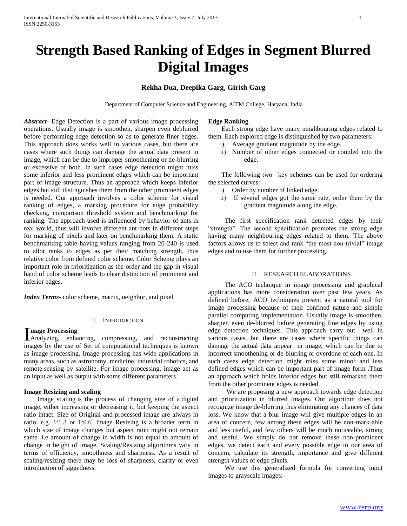# **Strength Based Ranking of Edges in Segment Blurred Digital Images**

# **Rekha Dua, Deepika Garg, Girish Garg**

Department of Computer Science and Engineering, AITM College, Haryana, India

*Abstract***-** Edge Detection is a part of various image processing operations. Usually image is smoothen, sharpen even deblurred before performing edge detection so as to generate finer edges. This approach does works well in various cases, but there are cases where such things can damage the actual data present in image, which can be due to improper smoothening or de-blurring or excessive of both. In such cases edge detection might miss some inferior and less prominent edges which can be important part of image structure. Thus an approach which keeps inferior edges but still distinguishes them from the other prominent edges is needed. Our approach involves a color scheme for visual ranking of edges, a marking procedure for edge probability checking, comparison threshold system and benchmarking for ranking. The approach used is influenced by behavior of ants in real world, thus will involve different ant-bots in different steps for marking of pixels and later on benchmarking them. A static benchmarking table having values ranging from 20-240 is used to allot ranks to edges as per their matching strength, thus relative color from defined color scheme. Color Scheme plays an important role in prioritization as the order and the gap in visual band of color scheme leads to clear distinction of prominent and inferior edges.

*Index Terms*- color scheme, matrix, neighbor, and pixel.

#### I. INTRODUCTION

## **mage Processing**

Image Processing<br>Analyzing, enhancing, compressing, and reconstructing images by the use of Set of computational techniques is known as image processing. Image processing has wide applications in many areas, such as astronomy, medicine, industrial robotics, and remote sensing by satellite. For image processing, image act as an input as well as output with some different parameters.

## **Image Resizing and scaling**

 Image scaling is the process of changing size of a digital image, either increasing or decreasing it, but keeping the aspect ratio intact. Size of Original and processed image are always in ratio, e.g. 1:1.3 or 1:0.6. Image Resizing is a broader term in which size of image changes but aspect ratio might not remain same .i.e amount of change in width is not equal to amount of change in height of image. Scaling/Resizing algorithms vary in terms of efficiency, smoothness and sharpness. As a result of scaling/resizing there may be loss of sharpness, clarity or even introduction of jaggedness.

#### **Edge Ranking**

 Each strong edge have many neighbouring edges related to them. Each explored edge is distinguished by two parameters:

- i) Average gradient magnitude by the edge.
- ii) Number of other edges connected or coupled into the edge.

 The following two –key schemes can be used for ordering the selected curves:

- i) Order by number of linked edge.
- ii) If several edges got the same rate, order them by the gradient magnitude along the edge.

 The first specification rank detected edges by their "strength". The second specification promotes the strong edge having many neighbouring edges related to them. The above factors allows us to select and rank "the most non-trivial" image edges and to use them for further processing.

## II. RESEARCH ELABORATIONS

 The ACO technique in image processing and graphical applications has more consideration over past few years. As defined before, ACO techniques present as a natural tool for image processing because of their confined nature and simple parallel computing implementation. Usually image is smoothen, sharpen even de-blurred before generating fine edges by using edge detection techniques. This approach carry out well in various cases, but there are cases where specific things can damage the actual data appear in image, which can be due to incorrect smoothening or de-blurring or overdone of each one. In such cases edge detection might miss some minor and less defined edges which can be important part of image form .Thus an approach which holds inferior edges but still remarked them from the other prominent edges is needed.

 We are proposing a new approach towards edge detection and prioritization in blurred images. Our algorithm does not recognize image de-blurring thus eliminating any chances of data loss. We know that a blur image will give multiple edges in an area of concern, few among these edges will be non-mark-able and less useful, and few others will be much noticeable, strong and useful. We simply do not remove these non-prominent edges, we detect each and every possible edge in our area of concern, calculate its strength, importance and give different strength values of edge pixels.

 We use this generalized formula for converting input images to grayscale images:-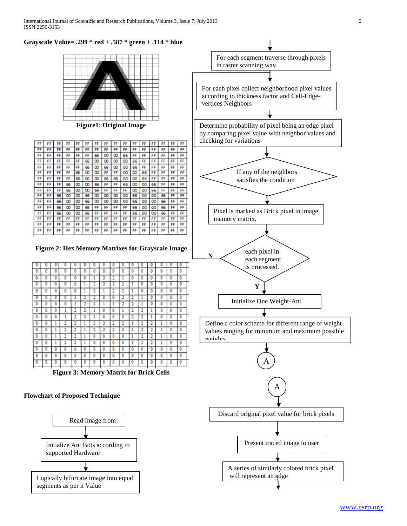**Grayscale Value= .299 \* red + .587 \* green + .114 \* blue**



**Figure1: Original Image**

| FF | FF | FF | FF | FF | FF | FF | FF | FF | FF | FF | FF | F<br>F | FF | FF | FF |
|----|----|----|----|----|----|----|----|----|----|----|----|--------|----|----|----|
| FF | FF | FF | FF | FF | FF | FF | FF | FF | FF | FF | FF | FF     | FF | FF | FF |
| FF | FF | FF | FF | FF | FF | 66 | œ  | œ  | 66 | FF | FF | FF     | FF | FF | FF |
| FF | FF | FF | FF | FF | 66 | œ  | œ  | œ  | oo | 66 | FF | FF     | FF | FF | FF |
| FF | FF | FF | FF | FF | 66 | œ  | 66 | œ  | oo | 66 | FF | FF     | FF | FF | FF |
| FF | FF | FF | FF | 66 | œ  | œ  | FF | FF | œ  | oo | 66 | FF     | FF | FF | FF |
| FF | FF | FF | FF | 66 | œ  | œ  | 66 | 66 | oo | oo | 66 | FF     | FF | FF | FF |
| FF | FF | FF | 66 | œ  | œ  | 66 | FF | FF | 66 | œ  | œ  | 66     | FF | FF | FF |
| FF | FF | FF | 66 | œ  | œ  | 66 | FF | FF | FF | oo | oo | 66     | FF | FF | FF |
| FF | FF | 66 | œ  | œ  | 66 | œ  | œ  | œ  | œ  | 66 | œ  | œ      | 66 | FF | FF |
| FF | FF | 66 | œ  | œ  | 66 | œ  | œ  | œ  | œ  | 66 | œ  | œ      | 66 | FF | FF |
| FF | FF | 66 | œ  | œ  | 66 | FF | FF | FF | FF | 66 | œ  | œ      | 66 | FF | FF |
| FF | FF | 66 | œ  | œ  | 66 | FF | FF | FF | FF | 66 | œ  | œ      | 66 | FF | FF |
| FF | FF | FF | FF | FF | FF | FF | FF | FF | FF | FF | FF | FF     | FF | FF | FF |
| FF | FF | FF | FF | FF | FF | FF | FF | FF | FF | FF | FF | FF     | FF | FF | FF |
| FF | FF | FF | FF | FF | FF | FF | FF | FF | FF | FF | FF | F<br>я | FF | FF | FF |

**Figure 2: Hex Memory Matrixes for Grayscale Image**

|   |   |   |   |   |   |        |   | 0 |   |   |   |        |   |   |   |
|---|---|---|---|---|---|--------|---|---|---|---|---|--------|---|---|---|
| ٥ | ٥ | ٥ | ٥ | ٥ | ٥ | ٥      | ٥ | ٥ | ٥ | ٥ | Ô | ٥      | ٥ | ٥ | ٥ |
| ٥ | 0 | ٥ | ٥ | ٥ | ٥ | 1      | 2 | 2 |   | 0 | Ō | ٥      | ٥ | ٥ | ٥ |
| ٥ | 0 | ٥ | 0 | ٥ | ı |        |   | 2 |   | ı | 0 | ٥      | ٥ | ٥ | ٥ |
| ٥ | ٥ | ٥ | 0 | ٥ | 1 | 2      |   | 2 | 2 | 1 | Ō | ٥      | ٥ | ٥ | ٥ |
| 0 | 0 | 0 | о | ı | 2 | 2      | 0 | 0 | 2 | 2 | ı | ٥      | Ō | Ō | ٥ |
| ٥ | Ō | Ō | ٥ | ı | 2 | 2      | 1 | 1 | 2 | 2 | ı | Ō      | ٥ | ٥ | ٥ |
| ٥ | Ō | Ō | ı | 2 | 2 | 1      | ٥ | 0 | ı | 2 | 2 | ı      | ٥ | ٥ | Ō |
| ٥ | O | ٥ | 1 | 2 | 2 | ٠<br>ı | ٥ | ٥ | 0 | 2 | 2 | 1      | ٥ | ٥ | ٥ |
| ٥ | ٥ | ı | 2 | 2 | ı | 2      | 2 | 2 | 2 | 1 | 2 | 2      | ı | ٥ | ٥ |
| ٥ | ٥ | ı | 2 | 2 | ı | 2      | 2 | 2 | 2 | ı | 2 | ٠<br>۰ | ı | ٥ | ٥ |
| ٥ | ٥ | ı | 2 | 2 | ı | ٥      | ٥ | ٥ | ٥ | 1 | 2 | 2      | ı | ٥ | ٥ |
| ٥ | ٥ | ı | 2 | 2 | ı | ٥      | ٥ | ٥ | ٥ | 1 | 2 | ٠<br>٠ | ı | ٥ | ٥ |
| ٥ | ٥ | ٥ | ٥ | ٥ | ٥ | ٥      | ٥ | ٥ | ٥ | ٥ | ٥ | ٥      | ٥ | ٥ | ٥ |
| ٥ | ٥ | ٥ | ٥ | ٥ | ٥ | ٥      | ٥ | ٥ | ٥ | ٥ | ٥ | ٥      | ٥ | ٥ | ٥ |
| σ | O | ō | Ō | ٥ | о | O      | ٥ | 0 | 0 | 0 | ٥ | ٥      | ٥ | ٥ | ٥ |
|   |   |   |   |   |   |        |   |   |   |   |   |        |   |   |   |

**Figure 3: Memory Matrix for Brick Cells**

## **Flowchart of Proposed Technique**



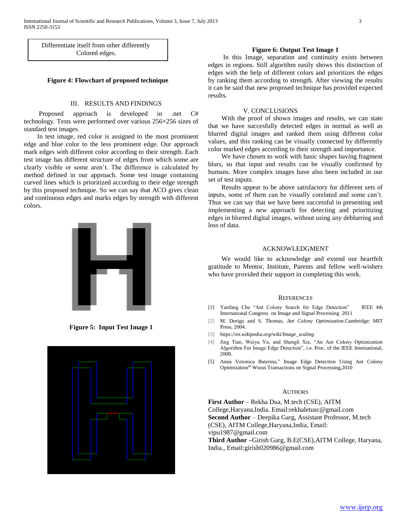Differentiate itself from other differently Colored edges.

## **Figure 4: Flowchart of proposed technique**

#### III. RESULTS AND FINDINGS

 Proposed approach is developed in .net C# technology. Tests were performed over various 256×256 sizes of standard test images.

 In test image, red color is assigned to the most prominent edge and blue color to the less prominent edge. Our approach mark edges with different color according to their strength. Each test image has different structure of edges from which some are clearly visible or some aren't. The difference is calculated by method defined in our approach. Some test image containing curved lines which is prioritized according to their edge strength by this proposed technique. So we can say that ACO gives clean and continuous edges and marks edges by strength with different colors.



**Figure 5: Input Test Image 1**



#### **Figure 6: Output Test Image 1**

 In this Image, separation and continuity exists between edges in regions. Still algorithm easily shows this distinction of edges with the help of different colors and prioritizes the edges by ranking them according to strength. After viewing the results it can be said that new proposed technique has provided expected results.

#### V. CONCLUSIONS

 With the proof of shown images and results, we can state that we have succesfully detected edges in normal as well as blurred digital images and ranked them using different color values, and this ranking can be visually connected by differently color marked edges according to their strength and importance.

 We have chosen to work with basic shapes having fragment blurs, so that input and results can be visually confirmed by humans. More complex images have also been included in our set of test inputs.

 Results appear to be above satisfactory for different sets of inputs, some of them can be visually corelated and some can't. Thus we can say that we have been successful in presenting and implementing a new approach for detecting and prioritizing edges in blurred digital images, without using any deblurring and loss of data.

#### ACKNOWLEDGMENT

 We would like to acknowledge and extend our heartfelt gratitude to Mentor, Institute, Parents and fellow well-wishers who have provided their support in completing this work.

#### **REFERENCES**

- [1] Yanfang Che "Ant Colony Search for Edge Detection" IEEE 4th International Congress on Image and Signal Processing 2011
- [2] M. Dorigo and S. Thomas, *Ant Colony Optimization*.Cambridge: MIT Press, 2004.
- [3] *https://en.wikipedia.org/wiki/Image\_scaling*
- [4] Jing Tian, Weiyu Yu, and Shengli Xie, "An Ant Colony Optimization Algorithm For Image Edge Detection", i.e. Proc. of the IEEE International, 2008.
- [5] Anna Veronica Baterina," Image Edge Detection Using Ant Colony Optimization**"** Wseas Transactions on Signal Processing,2010

#### **AUTHORS**

**First Author** – Rekha Dua, M.tech (CSE), AITM College,Haryana,India. Email:rekhaletusc@gmail.com **Second Author** – Deepika Garg, Assistant Professor, M.tech (CSE), AITM College,Haryana,India, Email: vipu1987@gmail.com **Third Author –**Girish Garg, B.E(CSE),AITM College, Haryana, India., Email:girish020986@gmail.com